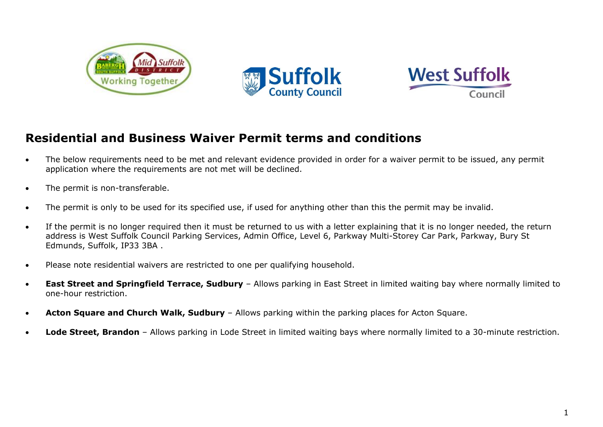





## **Residential and Business Waiver Permit terms and conditions**

- The below requirements need to be met and relevant evidence provided in order for a waiver permit to be issued, any permit application where the requirements are not met will be declined.
- The permit is non-transferable.
- The permit is only to be used for its specified use, if used for anything other than this the permit may be invalid.
- If the permit is no longer required then it must be returned to us with a letter explaining that it is no longer needed, the return address is West Suffolk Council Parking Services, Admin Office, Level 6, Parkway Multi-Storey Car Park, Parkway, Bury St Edmunds, Suffolk, IP33 3BA .
- Please note residential waivers are restricted to one per qualifying household.
- **East Street and Springfield Terrace, Sudbury** Allows parking in East Street in limited waiting bay where normally limited to one-hour restriction.
- **Acton Square and Church Walk, Sudbury**  Allows parking within the parking places for Acton Square.
- **Lode Street, Brandon**  Allows parking in Lode Street in limited waiting bays where normally limited to a 30-minute restriction.